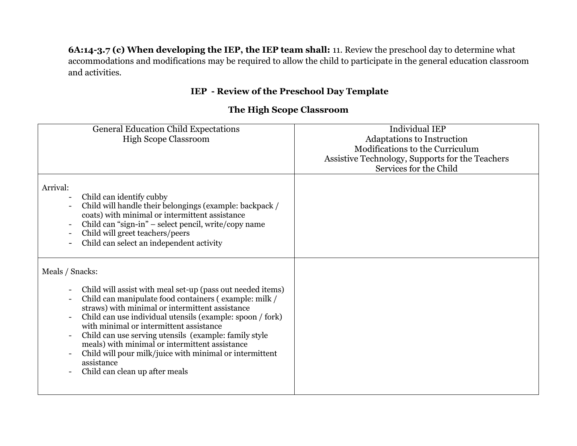**6A:14-3.7 (c) When developing the IEP, the IEP team shall:** 11. Review the preschool day to determine what accommodations and modifications may be required to allow the child to participate in the general education classroom and activities.

## **IEP - Review of the Preschool Day Template**

## **The High Scope Classroom**

| <b>Individual IEP</b><br>Adaptations to Instruction<br>Modifications to the Curriculum<br>Assistive Technology, Supports for the Teachers<br>Services for the Child |
|---------------------------------------------------------------------------------------------------------------------------------------------------------------------|
|                                                                                                                                                                     |
|                                                                                                                                                                     |
|                                                                                                                                                                     |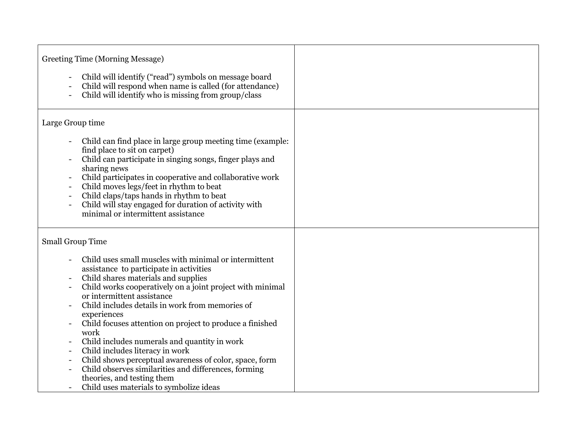| Greeting Time (Morning Message)<br>Child will identify ("read") symbols on message board<br>Child will respond when name is called (for attendance)<br>Child will identify who is missing from group/class                                                                                                                                                                                                                                                                                                                                                                                                                                             |  |
|--------------------------------------------------------------------------------------------------------------------------------------------------------------------------------------------------------------------------------------------------------------------------------------------------------------------------------------------------------------------------------------------------------------------------------------------------------------------------------------------------------------------------------------------------------------------------------------------------------------------------------------------------------|--|
| Large Group time                                                                                                                                                                                                                                                                                                                                                                                                                                                                                                                                                                                                                                       |  |
| Child can find place in large group meeting time (example:<br>find place to sit on carpet)<br>Child can participate in singing songs, finger plays and<br>sharing news<br>Child participates in cooperative and collaborative work<br>Child moves legs/feet in rhythm to beat<br>Child claps/taps hands in rhythm to beat<br>Child will stay engaged for duration of activity with<br>minimal or intermittent assistance                                                                                                                                                                                                                               |  |
| <b>Small Group Time</b>                                                                                                                                                                                                                                                                                                                                                                                                                                                                                                                                                                                                                                |  |
| Child uses small muscles with minimal or intermittent<br>assistance to participate in activities<br>Child shares materials and supplies<br>Child works cooperatively on a joint project with minimal<br>or intermittent assistance<br>Child includes details in work from memories of<br>experiences<br>Child focuses attention on project to produce a finished<br>work<br>Child includes numerals and quantity in work<br>Child includes literacy in work<br>Child shows perceptual awareness of color, space, form<br>Child observes similarities and differences, forming<br>theories, and testing them<br>Child uses materials to symbolize ideas |  |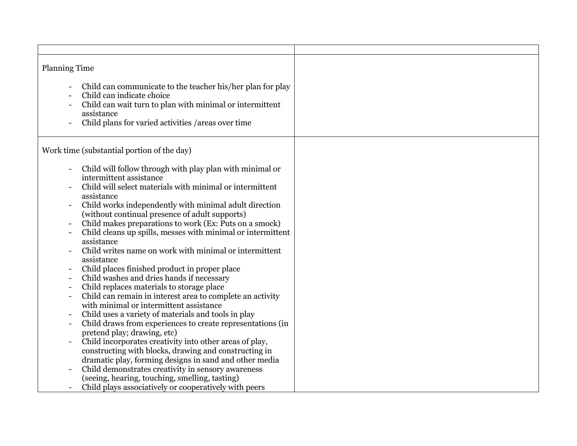| <b>Planning Time</b><br>Child can communicate to the teacher his/her plan for play<br>Child can indicate choice<br>Child can wait turn to plan with minimal or intermittent<br>assistance<br>Child plans for varied activities / areas over time                                                                                                                                                                                                                                                                                                                                                                                                                                                                                                                                                                                                                                                                                                                                                                                                                                                                                    |  |
|-------------------------------------------------------------------------------------------------------------------------------------------------------------------------------------------------------------------------------------------------------------------------------------------------------------------------------------------------------------------------------------------------------------------------------------------------------------------------------------------------------------------------------------------------------------------------------------------------------------------------------------------------------------------------------------------------------------------------------------------------------------------------------------------------------------------------------------------------------------------------------------------------------------------------------------------------------------------------------------------------------------------------------------------------------------------------------------------------------------------------------------|--|
| Work time (substantial portion of the day)                                                                                                                                                                                                                                                                                                                                                                                                                                                                                                                                                                                                                                                                                                                                                                                                                                                                                                                                                                                                                                                                                          |  |
| Child will follow through with play plan with minimal or<br>intermittent assistance<br>Child will select materials with minimal or intermittent<br>assistance<br>Child works independently with minimal adult direction<br>(without continual presence of adult supports)<br>Child makes preparations to work (Ex: Puts on a smock)<br>Child cleans up spills, messes with minimal or intermittent<br>assistance<br>Child writes name on work with minimal or intermittent<br>assistance<br>Child places finished product in proper place<br>Child washes and dries hands if necessary<br>Child replaces materials to storage place<br>Child can remain in interest area to complete an activity<br>with minimal or intermittent assistance<br>Child uses a variety of materials and tools in play<br>Child draws from experiences to create representations (in<br>pretend play; drawing, etc)<br>Child incorporates creativity into other areas of play,<br>constructing with blocks, drawing and constructing in<br>dramatic play, forming designs in sand and other media<br>Child demonstrates creativity in sensory awareness |  |
| (seeing, hearing, touching, smelling, tasting)<br>Child plays associatively or cooperatively with peers                                                                                                                                                                                                                                                                                                                                                                                                                                                                                                                                                                                                                                                                                                                                                                                                                                                                                                                                                                                                                             |  |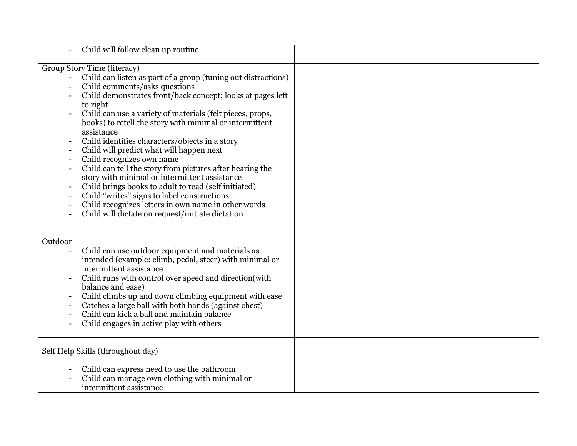| Child will follow clean up routine                                                                                                                                                                                                                                                                                                                                                                                                                                                                                                                                                                                                                                                                                                                                                                                        |  |
|---------------------------------------------------------------------------------------------------------------------------------------------------------------------------------------------------------------------------------------------------------------------------------------------------------------------------------------------------------------------------------------------------------------------------------------------------------------------------------------------------------------------------------------------------------------------------------------------------------------------------------------------------------------------------------------------------------------------------------------------------------------------------------------------------------------------------|--|
| Group Story Time (literacy)<br>Child can listen as part of a group (tuning out distractions)<br>$\blacksquare$<br>Child comments/asks questions<br>Child demonstrates front/back concept; looks at pages left<br>to right<br>Child can use a variety of materials (felt pieces, props,<br>books) to retell the story with minimal or intermittent<br>assistance<br>Child identifies characters/objects in a story<br>Child will predict what will happen next<br>Child recognizes own name<br>Child can tell the story from pictures after hearing the<br>story with minimal or intermittent assistance<br>Child brings books to adult to read (self initiated)<br>Child "writes" signs to label constructions<br>Child recognizes letters in own name in other words<br>Child will dictate on request/initiate dictation |  |
| Outdoor<br>Child can use outdoor equipment and materials as<br>intended (example: climb, pedal, steer) with minimal or<br>intermittent assistance<br>Child runs with control over speed and direction(with<br>balance and ease)<br>Child climbs up and down climbing equipment with ease<br>Catches a large ball with both hands (against chest)<br>Child can kick a ball and maintain balance<br>Child engages in active play with others                                                                                                                                                                                                                                                                                                                                                                                |  |
| Self Help Skills (throughout day)                                                                                                                                                                                                                                                                                                                                                                                                                                                                                                                                                                                                                                                                                                                                                                                         |  |
| Child can express need to use the bathroom<br>Child can manage own clothing with minimal or<br>intermittent assistance                                                                                                                                                                                                                                                                                                                                                                                                                                                                                                                                                                                                                                                                                                    |  |